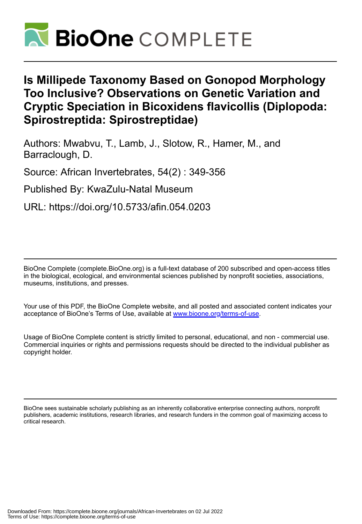

# **Is Millipede Taxonomy Based on Gonopod Morphology Too Inclusive? Observations on Genetic Variation and Cryptic Speciation in Bicoxidens flavicollis (Diplopoda: Spirostreptida: Spirostreptidae)**

Authors: Mwabvu, T., Lamb, J., Slotow, R., Hamer, M., and Barraclough, D.

Source: African Invertebrates, 54(2) : 349-356

Published By: KwaZulu-Natal Museum

URL: https://doi.org/10.5733/afin.054.0203

BioOne Complete (complete.BioOne.org) is a full-text database of 200 subscribed and open-access titles in the biological, ecological, and environmental sciences published by nonprofit societies, associations, museums, institutions, and presses.

Your use of this PDF, the BioOne Complete website, and all posted and associated content indicates your acceptance of BioOne's Terms of Use, available at www.bioone.org/terms-of-use.

Usage of BioOne Complete content is strictly limited to personal, educational, and non - commercial use. Commercial inquiries or rights and permissions requests should be directed to the individual publisher as copyright holder.

BioOne sees sustainable scholarly publishing as an inherently collaborative enterprise connecting authors, nonprofit publishers, academic institutions, research libraries, and research funders in the common goal of maximizing access to critical research.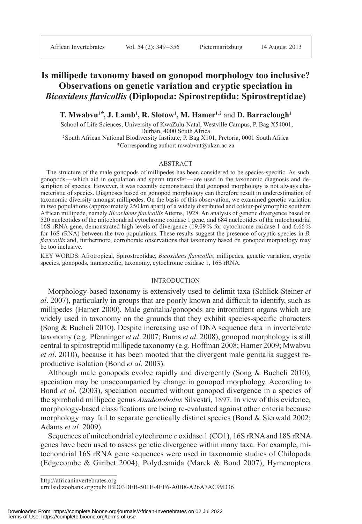African Invertebrates Vol. 54 (2): 349–356 Pietermaritzburg 14 August 2013

# **Is millipede taxonomy based on gonopod morphology too inclusive? Observations on genetic variation and cryptic speciation in**  *Bicoxidens flavicollis* **(Diplopoda: Spirostreptida: Spirostreptidae)**

**T. Mwabvu1\*, J. Lamb1 , R. Slotow1 , M. Hamer1, 2** and **D. Barraclough1**

<sup>1</sup> School of Life Sciences, University of KwaZulu-Natal, Westville Campus, P. Bag X54001, Durban, 4000 South Africa

2 South African National Biodiversity Institute, P. Bag X101, Pretoria, 0001 South Africa \*Corresponding author: mwabvut@ukzn.ac.za

### ABSTRACT

The structure of the male gonopods of millipedes has been considered to be species-specific. As such, go nopods—which aid in copulation and sperm transfer—are used in the taxonomic diagnosis and description of species. However, it was recently demonstrated that gonopod morphology is not always characteristic of species. Diagnoses based on gonopod morphology can therefore result in underestimation of ta xonomic diversity amongst millipedes. On the basis of this observation, we examined genetic variation in two populations (approximately 250 km apart) of a widely distributed and colour-polymorphic southern Af rican millipede, namely *Bicoxidens flavicollis* Attems, 1928. An analysis of genetic divergence based on 520 nucleotides of the mitochondrial cytochrome oxidase 1 gene, and 684 nucleotides of the mitochondrial 16S rRNA gene, demonstrated high levels of divergence (19.09 % for cytochrome oxidase 1 and 6.66 % for 16S rRNA) between the two populations. These results suggest the presence of cryptic species in *B. fla vicollis* and, furthermore, corroborate observations that taxonomy based on gonopod morphology may be too inclusive.

KEY WORDS: Afrotropical, Spirostreptidae, *Bicoxidens flavicollis*, millipedes, genetic variation, cryptic species, gonopods, intraspecific, taxonomy, cytochrome oxidase 1, 16S rRNA.

### INTRODUCTION

Morphology-based taxonomy is extensively used to delimit taxa (Schlick-Steiner *et al*. 2007), particularly in groups that are poorly known and difficult to identify, such as millipedes (Hamer 2000). Male genitalia/gonopods are intromittent organs which are widely used in taxonomy on the grounds that they exhibit species-specific characters (Song & Bucheli 2010). Despite increasing use of DNA sequence data in invertebrate taxonomy (e.g. Pfenninger *et al*. 2007; Burns *et al*. 2008), gonopod morphology is still central to spirostreptid millipede taxonomy (e.g. Hoffman 2008; Hamer 2009; Mwabvu *et al*. 2010), because it has been mooted that the divergent male genitalia suggest reproductive isolation (Bond *et al*. 2003).

Although male gonopods evolve rapidly and divergently (Song & Bucheli 2010), speciation may be unaccompanied by change in gonopod morphology. According to Bond *et al*. (2003), speciation occurred without gonopod divergence in a species of the spirobolid millipede genus Anadenobolus Silvestri, 1897. In view of this evidence, morphology-based classifications are being re-evaluated against other criteria because morphology may fail to separate genetically distinct species (Bond  $&$  Sierwald 2002; Adams *et al.* 2009).

Sequences of mitochondrial cytochrome *c* oxidase 1 (CO1), 16S rRNA and 18S rRNA genes have been used to assess genetic divergence within many taxa. For example, mitochondrial 16S rRNA gene sequences were used in taxonomic studies of Chilopoda (Edgecombe & Giribet 2004), Polydesmida (Marek & Bond 2007), Hymenoptera

http://africaninvertebrates.org

nttp://amcaninverteorates.org<br>urn:lsid:zoobank.org:pub:1BD03DEB-501E-4EF6-A0B8-A26A7AC99D36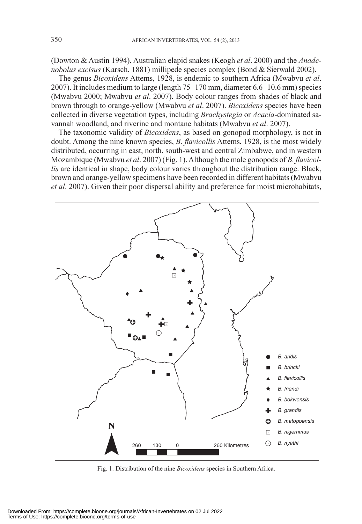(Dowton & Austin 1994), Australian elapid snakes (Keogh *et al*. 2000) and the *Ana denobolus excisus* (Karsch, 1881) millipede species complex (Bond & Sierwald 2002).

The genus *Bicoxidens* Attems, 1928, is endemic to southern Africa (Mwabvu *et al*. 2007). It includes medium to large (length 75–170 mm, diameter 6.6–10.6 mm) species (Mwabvu 2000; Mwabvu *et al*. 2007). Body colour ranges from shades of black and brown through to orange-yellow (Mwabvu *et al*. 2007). *Bicoxidens* species have been collected in diverse vegetation types, including *Brachystegia* or *Acacia*-dominated savannah woodland, and riverine and montane habitats (Mwabvu *et al*. 2007).

The taxonomic validity of *Bicoxidens*, as based on gonopod morphology, is not in doubt. Among the nine known species, *B. flavicollis* Attems, 1928, is the most widely dis tributed, occurring in east, north, south-west and central Zimbabwe, and in western Mozambique (Mwabvu *et al.* 2007) (Fig. 1). Although the male gonopods of *B. flavicollis* are identical in shape, body colour varies throughout the distribution range. Black, brown and orange-yellow specimens have been recorded in different habitats (Mwabvu *et al*. 2007). Given their poor dispersal ability and preference for moist microhabitats,



Fig. 1. Distribution of the nine *Bicoxidens* species in Southern Africa.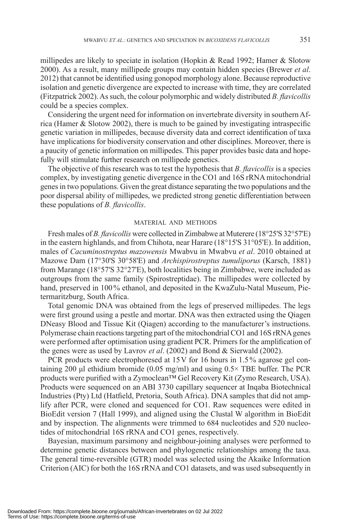millipedes are likely to speciate in isolation (Hopkin & Read 1992; Hamer  $\&$  Slotow 2000). As a result, many millipede groups may contain hidden species (Brewer *et al*. 2012) that cannot be identified using gonopod morphology alone. Because reproductive isolation and genetic divergence are expected to increase with time, they are correlated (Fitzpatrick 2002). As such, the colour polymorphic and widely distributed *B. flavicollis* could be a species complex.

Considering the urgent need for information on invertebrate diversity in southern Africa (Hamer & Slotow 2002), there is much to be gained by investigating intraspecific genetic variation in millipedes, because diversity data and correct identification of taxa have implications for biodiversity conservation and other disciplines. Moreover, there is a paucity of genetic information on millipedes. This paper provides basic data and hopefully will stimulate further research on millipede genetics.

The objective of this research was to test the hypothesis that *B. flavicollis* is a species complex, by investigating genetic divergence in the CO1 and 16S rRNA mitochondrial genes in two populations. Given the great distance separating the two populations and the poor dispersal ability of millipedes, we predicted strong genetic differentiation between these populations of *B. flavicollis*.

# MATERIAL AND METHODS

Fresh males of *B. flavicollis* were collected in Zimbabwe at Muterere (18°25'S 32°57'E) in the eastern highlands, and from Chihota, near Harare (18°15'S 31°05'E). In addition, males of *Cacuminostreptus mazowensis* Mwabvu in Mwabvu et al. 2010 obtained at Mazowe Dam (17°30'S 30°58'E) and *Archispirostreptus tumuliporus* (Karsch, 1881) from Marange (18°57'S 32°27'E), both localities being in Zimbabwe, were included as outgroups from the same family (Spirostreptidae). The millipedes were collected by hand, preserved in 100% ethanol, and deposited in the KwaZulu-Natal Museum, Pietermaritzburg, South Africa.

Total genomic DNA was obtained from the legs of preserved millipedes. The legs were first ground using a pestle and mortar. DNA was then extracted using the Qiagen DNeasy Blood and Tissue Kit (Qiagen) according to the manufacturer's instructions. Polymerase chain reactions targeting part of the mitochondrial CO1 and 16S rRNA genes were performed after optimisation using gradient PCR. Primers for the amplification of the genes were as used by Lavrov *et al*. (2002) and Bond & Sierwald (2002).

PCR products were electrophoresed at 15V for 16 hours in 1.5% agarose gel containing 200 μl ethidium bromide (0.05 mg/ml) and using  $0.5 \times$  TBE buffer. The PCR products were purified with a Zymoclean™ Gel Recovery Kit (Zymo Research, USA). Products were sequenced on an ABI 3730 capillary sequencer at Inqaba Biotechnical Industries (Pty) Ltd (Hatfield, Pretoria, South Africa). DNA samples that did not amplify after PCR, were cloned and sequenced for CO1. Raw sequences were edited in BioEdit version 7 (Hall 1999), and aligned using the Clustal W algorithm in BioEdit and by inspection. The alignments were trimmed to 684 nucleotides and 520 nucleotides of mitochondrial 16S rRNA and CO1 genes, respectively.

Bayesian, maximum parsimony and neighbour-joining analyses were performed to determine genetic distances between and phylogenetic relationships among the taxa. The general time-reversible (GTR) model was selected using the Akaike Information Criterion (AIC) for both the 16S rRNA and CO1 datasets, and was used subsequently in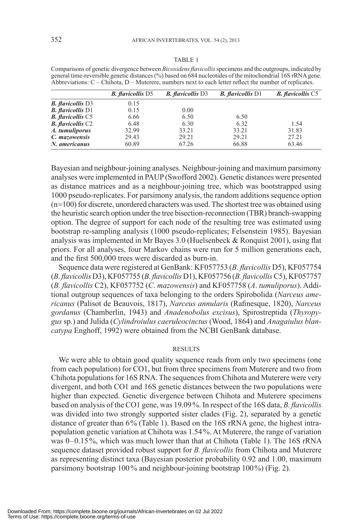# Abbreviations: C – Chihota, D – Muterere, numbers next to each letter reflect the number of replicates. *B. flavicollis* D5 *B. flavicollis* D3 *B. flavicollis* D1 *B. flavicollis* C5 **B.** flavicollis D3 0.15<br>**B.** flavicollis D1 0.15 **B.** *flavicollis* D1 0.15 0.00<br> **B.** *flavicollis* C5 6.66 6.50 *B. flavicollis* C5 6.66 6.50 6.50 *B. flavicollis* C2 6.48 6.30 6.32 1.54<br> *A. tumulinorus* 32.99 33.21 33.21 31.83 *A. tumuliporus* 32.99 33.21 33.21 31.83<br> *C. mazowensis* 29.43 29.21 29.21 27.21 *C. mazowensis* 29.43 29.21 29.21 27.21 27.21<br> *N. americanus* 60.89 67.26 66.88 63.46

Comparisons of genetic divergence between *Bicoxidens flavicollis* specimens and the outgroups, indicated by general time-reversible genetic distances (%) based on 684 nucleotides of the mitochondrial 16S rRNA gene.

Bayesian and neighbour-joining analyses. Neighbour-joining and maximum parsimony analyses were implemented in PAUP (Swofford 2002). Genetic distances were presented as distance matrices and as a neighbour-joining tree, which was bootstrapped using 1000 pseudo-replicates. For parsimony analysis, the random additions sequence option (n=100) for discrete, unordered characters was used. The shortest tree was obtained using the heuristic search option under the tree bisection-reconnection (TBR) branch-swapping option. The degree of support for each node of the resulting tree was estimated using bootstrap re-sampling analysis (1000 pseudo-replicates; Felsenstein 1985). Bayesian analysis was implemented in Mr Bayes 3.0 (Huelsenbeck & Ronquist 2001), using flat priors. For all analyses, four Markov chains were run for 5 million generations each, and the first 500,000 trees were discarded as burn-in.

Sequence data were registered at GenBank: KF057753 (*B. flavicollis* D5), KF057754 (*B. flavicollis* D3), KF057755 (*B. flavicol lis* D1), KF057756 (*B. flavicollis* C5), KF057757 (*B. flavicollis* C2), KF057752 (*C*. *ma zo wensis*) and KF057758 (*A*. *tu mu li porus*). Ad ditional outgroup sequences of taxa be longing to the orders Spirobolida (*Nar ceus americanus* (Palisot de Beauvois, 1817), *Narceus annularis* (Rafinesque, 1820), *Narceus gor danus* (Chamberlin, 1943) and *Ana denobolus ex cisus*), Spirostreptida (*Thyropy*gus sp.) and Julida (Cylindroiulus caeruleocinctus (Wood, 1864) and *Anagaiulus blanca typa* Enghoff, 1992) were obtained from the NCBI GenBank database.

# RESULTS

We were able to obtain good quality sequence reads from only two specimens (one from each population) for CO1, but from three specimens from Muterere and two from Chihota populations for 16S RNA. The sequences from Chihota and Muterere were very divergent, and both CO1 and 16S genetic distances between the two populations were higher than expected. Genetic divergence between Chihota and Muterere specimens based on analysis of the CO1 gene, was 19.09 %. In respect of the 16S data, *B. flavicollis* was divided into two strongly supported sister clades (Fig. 2), separated by a genetic distance of greater than 6% (Table 1). Based on the 16S rRNA gene, the highest intrapopulation genetic variation at Chihota was 1.54 %. At Muterere, the range of variation was  $0-0.15\%$ , which was much lower than that at Chihota (Table 1). The 16S rRNA se quence dataset provided robust support for *B. flavicollis* from Chihota and Muterere as representing distinct taxa (Bayesian posterior probability 0.92 and 1.00, maximum par simony bootstrap  $100\%$  and neighbour-joining bootstrap  $100\%$ ) (Fig. 2).

*N. americanus*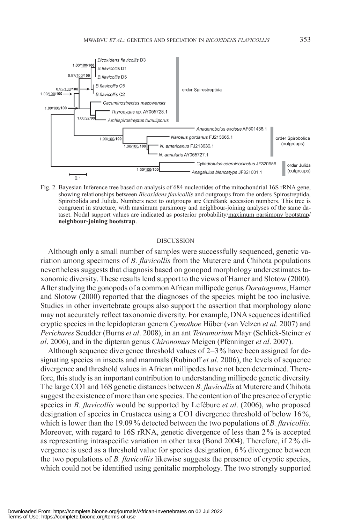

Fig. 2. Bayesian Inference tree based on analysis of 684 nucleotides of the mitochondrial 16S rRNA gene, showing relationships between *Bicoxidens flavicollis* and outgroups from the orders Spirostreptida, Spirobolida and Julida. Numbers next to outgroups are GenBank accession numbers. This tree is congruent in structure, with maximum parsimony and neighbour-joining analyses of the same dataset. Nodal support values are indicated as posterior probability/maximum parsimony bootstrap/ **neighbour-joining bootstrap**.

#### **DISCUSSION**

Although only a small number of samples were successfully sequenced, genetic variation among specimens of *B. flavicollis* from the Muterere and Chihota populations nevertheless suggests that diagnosis based on gonopod morphology underestimates taxonomic diversity. These results lend support to the views of Hamer and Slotow (2000). After studying the gonopods of a common African millipede genus *Doratogonus*, Hamer and Slotow (2000) reported that the diagnoses of the species might be too inclusive. Studies in other invertebrate groups also support the assertion that morphology alone may not accurately reflect taxonomic diversity. For example, DNA sequences identified cryptic species in the lepidopteran genera *Cymothoe* Hüber (van Velzen *et al*. 2007) and *Perichares* Scudder (Burns *et al*. 2008), in an ant *Tetramorium* Mayr (Schlick-Steiner *et al*. 2006), and in the dipteran genus *Chironomus* Meigen (Pfenninger *et al*. 2007).

Although sequence divergence threshold values of 2–3 % have been assigned for designating species in insects and mammals (Rubinoff *et al*. 2006), the levels of sequence divergence and threshold values in African millipedes have not been determined. Therefore, this study is an important contribution to understanding millipede genetic diversity. The large CO1 and 16S genetic distances between *B. flavicollis* at Muterere and Chihota suggest the existence of more than one species. The contention of the presence of cryptic species in *B. flavicollis* would be supported by Lefébure *et al*. (2006), who proposed designation of species in Crustacea using a CO1 divergence threshold of below  $16\%$ . which is lower than the 19.09 % detected between the two populations of *B. flavicollis*. Moreover, with regard to 16S rRNA, genetic divergence of less than 2 % is accepted as representing intraspecific variation in other taxa (Bond 2004). Therefore, if 2 % divergence is used as a threshold value for species designation, 6 % divergence between the two populations of *B. flavicollis* likewise suggests the presence of cryptic species, which could not be identified using genitalic morphology. The two strongly supported

Downloaded From: https://complete.bioone.org/journals/African-Invertebrates on 02 Jul 2022 Terms of Use: https://complete.bioone.org/terms-of-use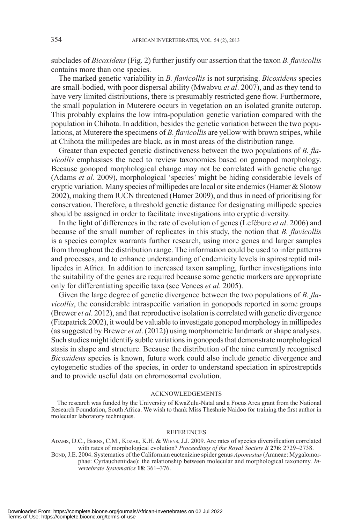subclades of *Bicoxidens* (Fig. 2) further justify our assertion that the taxon *B. flavicollis* contains more than one species.

The marked genetic variability in *B. flavicollis* is not surprising. *Bicoxidens* species are small-bodied, with poor dispersal ability (Mwabvu *et al*. 2007), and as they tend to have very limited distributions, there is presumably restricted gene flow. Furthermore, the small population in Muterere occurs in vegetation on an isolated granite outcrop. This probably explains the low intra-population genetic variation compared with the population in Chihota. In addition, besides the genetic variation between the two populations, at Muterere the specimens of *B. flavicollis* are yellow with brown stripes, while at Chihota the millipedes are black, as in most areas of the distribution range.

Greater than expected genetic distinctiveness between the two populations of *B. flavicollis* emphasises the need to review taxonomies based on gonopod morphology. Be cause gonopod morphological change may not be correlated with genetic change (Adams *et al*. 2009), morphological 'species' might be hiding considerable levels of cryptic variation. Many species of millipedes are local or site endemics (Hamer & Slotow 2002), making them IUCN threatened (Hamer 2009), and thus in need of prioritising for con servation. Therefore, a threshold genetic distance for designating millipede species should be assigned in order to facilitate investigations into cryptic diversity.

In the light of differences in the rate of evolution of genes (Lefébure *et al*. 2006) and because of the small number of replicates in this study, the notion that *B. flavicollis* is a species complex warrants further research, using more genes and larger samples from throughout the distribution range. The information could be used to infer patterns and processes, and to enhance understanding of endemicity levels in spirostreptid millipedes in Africa. In addition to increased taxon sampling, further investigations into the suitability of the genes are required because some genetic markers are appropriate only for differentiating specific taxa (see Vences *et al*. 2005).

Given the large degree of genetic divergence between the two populations of *B. flavicollis*, the considerable intraspecific variation in gonopods reported in some groups (Brewer *et al*. 2012), and that reproductive isolation is correlated with genetic divergence (Fitzpatrick 2002), it would be valuable to investigate gonopod morphology in millipedes (as suggested by Brewer *et al*. (2012)) using morphometric landmark or shape analyses. Such studies might identify subtle variations in gonopods that demonstrate morphological stasis in shape and structure. Because the distribution of the nine currently recognised *Bicoxidens* species is known, future work could also include genetic divergence and cytogenetic studies of the species, in order to understand speciation in spirostreptids and to provide useful data on chromosomal evolution.

### ACKNOWLEDGEMENTS

The research was funded by the University of KwaZulu-Natal and a Focus Area grant from the National Research Foundation, South Africa. We wish to thank Miss Theshnie Naidoo for training the first author in molecular laboratory techniques.

#### REFERENCES

- ADAMS, D.C., BERNS, C.M., KOZAK, K.H. & WIENS, J.J. 2009. Are rates of species diversification correlated with rates of morphological evolution? *Proceedings of the Royal Society B* **276**: 2729–2738.
- BOND, J.E. 2004. Systematics of the Californian euctenizine spider genus *Apomastus* (Araneae: Mygalomorphae: Cyrtaucheniidae): the relationship between molecular and morphological taxonomy. *Invertebrate Systematics* **18**: 361–376.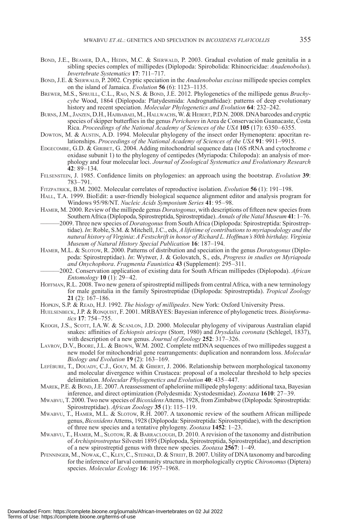- BOND, J.E., BEAMER, D.A., HEDIN, M.C. & SIERWALD, P. 2003. Gradual evolution of male genitalia in a sib ling species complex of millipedes (Diplopoda: Spirobolida: Rhinocricidae: *Anadenobolus*). *In vertebrate Systematics* **17**: 711–717.
- BOND, J.E. & SIERWALD, P. 2002. Cryptic speciation in the *Anadenobolus excisus* millipede species complex on the island of Jamaica. *Evolution* **56** (6): 1123–1135.
- BREWER, M.S., SPRUILL, C.L., RAO, N.S. & BOND, J.E. 2012. Phylogenetics of the millipede genus *Brachycybe* Wood, 1864 (Diplopoda: Platydesmida: Andrognathidae): patterns of deep evolutionary his tory and recent speciation. *Molecular Phylogenetics and Evolution* **64**: 232–242.
- BURNS, J.M., JANZEN, D.H., HAJIBABAEI, M., HALLWACHS, W. & HEBERT, P.D.N. 2008. DNA barcodes and cryptic species of skipper butterflies in the genus *Perichares* in Area de Conservación Guanacaste, Costa Rica. *Proceedings of the National Academy of Sciences of the USA* **105** (17): 6350–6355.
- DOWTON, M. & AUSTIN, A.D. 1994. Molecular phylogeny of the insect order Hymenoptera: apocritan relationships. *Proceedings of the National Academy of Sciences of the USA* **91**: 9911–9915.
- EDGECOMBE, G.D. & GIRIBET, G. 2004. Adding mitochondrial sequence data (16S rRNA and cytochrome *c* oxidase subunit 1) to the phylogeny of centipedes (Myriapoda: Chilopoda): an analysis of morphology and four molecular loci. *Journal of Zoological Systematics and Evolutionary Research* **42**: 89–134.
- FELSENSTEIN, J. 1985. Confidence limits on phylogenies: an approach using the bootstrap. *Evolution* **39**: 783–791.
- FITZPATRICK, B.M. 2002. Molecular correlates of reproductive isolation. *Evolution* **56** (1): 191–198.
- HALL, T.A. 1999. BioEdit: a user-friendly biological sequence alignment editor and analysis program for Win dows 95/98/NT. *Nucleic Acids Symposium Series* **41**: 95–98.
- HAMER, M. 2000. Review of the millipede genus *Doratogonus*, with descriptions of fifteen new species from Southern Africa (Diplopoda, Spirostreptida, Spirostreptidae). *Annals of the Natal Museum* **41**: 1–76.
- ––––––2009. Three new species of *Doratogonus* from South Africa (Diplopoda: Spirostreptida: Spirostreptidae). *In*: Roble, S.M. & Mitchell, J.C., eds, *A lifetime of contributions to myriapodology and the natural history of Virginia*: *A Festschrift in honor of Richard L. Hoffman's 80th birthday. Virginia Museum of Natural History Special Publication* **16**: 187–194.
- HAMER, M.L. & SLOTOW, R. 2000. Patterns of distribution and speciation in the genus *Doratogonus* (Diplopoda: Spirostreptidae). *In*: Wytwer, J. & Golovatch, S., eds, *Progress in studies on Myriapoda and Ony chophora*. *Fragmenta Faunistica* **43** (Supplement): 295–311.
	- ––––––2002. Conservation application of existing data for South African millipedes (Diplopoda). *African Entomology* **10** (1): 29–42.
- HOFFMAN, R.L. 2008. Two new genera of spirostreptid millipeds from central Africa, with a new terminology for male genitalia in the family Spirostreptidae (Diplopoda: Spirostreptida). *Tropical Zoology* **21** (2): 167–186.
- HOPKIN, S.P. & READ, H.J. 1992. *The biology of millipedes*. New York: Oxford University Press.
- HUELSENBECK, J.P. & RONQUIST, F. 2001. MRBAYES: Bayesian inference of phylogenetic trees. *Bioinformatics* **17**: 754–755.
- KEOGH, J.S., SCOTT, I.A.W. & SCANLON, J.D. 2000. Molecular phylogeny of viviparous Australian elapid snakes: affinities of *Echiopsis atriceps* (Storr, 1980) and *Drysdalia coronata* (Schlegel, 1837), with description of a new genus. *Journal of Zoology* 252: 317–326.
- LAVROV, D.V., BOORE, J.L. & BROWN, W.M. 2002. Complete mtDNA sequences of two millipedes suggest a new model for mitochondrial gene rearrangements: duplication and nonrandom loss. *Molecular Biology and Evolution* **19** (2): 163–169.
- LEFÉBURE, T., DOUADY, C.J., GOUY, M. & GIBERT, J. 2006. Relationship between morphological taxonomy and molecular divergence within Crustacea: proposal of a molecular threshold to help species de limitation. *Molecular Phylogenetics and Evolution* **40**: 435–447.
- MAREK, P.E. & BOND, J.E. 2007. A reassessment of apheloriine millipede phylogeny: additional taxa, Bayesian inference, and direct optimization (Polydesmida: Xystodesmidae). *Zootaxa* **1610**: 27–39.
- MWABVU, T. 2000. Two new species of *Bicoxidens* Attems, 1928, from Zimbabwe (Diplopoda: Spirostreptida: Spirostreptidae). *African Zoology* **35** (1): 115–119.
- MWABVU, T., HAMER, M.L. & SLOTOW, R.H. 2007. A taxonomic review of the southern African millipede genus, *Bicoxidens* Attems, 1928 (Diplopoda: Spirostreptida: Spirostreptidae), with the description of three new species and a tentative phylogeny. *Zootaxa* **1452**: 1–23.
- MWABVU, T., HAMER, M., SLOTOW, R. & BARRACLOUGH, D. 2010. A revision of the taxonomy and distribution of *Archispirostreptus* Silvestri 1895 (Diplopoda, Spirostreptida, Spirostreptidae), and description of a new spirostreptid genus with three new species. *Zootaxa* **2567**: 1–49.
- PFENNINGER, M., NOWAK, C., KLEY, C., STEINKE, D. & STREIT, B. 2007. Utility of DNA taxonomy and barcoding for the inference of larval community structure in morphologically cryptic *Chironomus* (Diptera) species. *Molecular Ecology* **16**: 1957–1968.